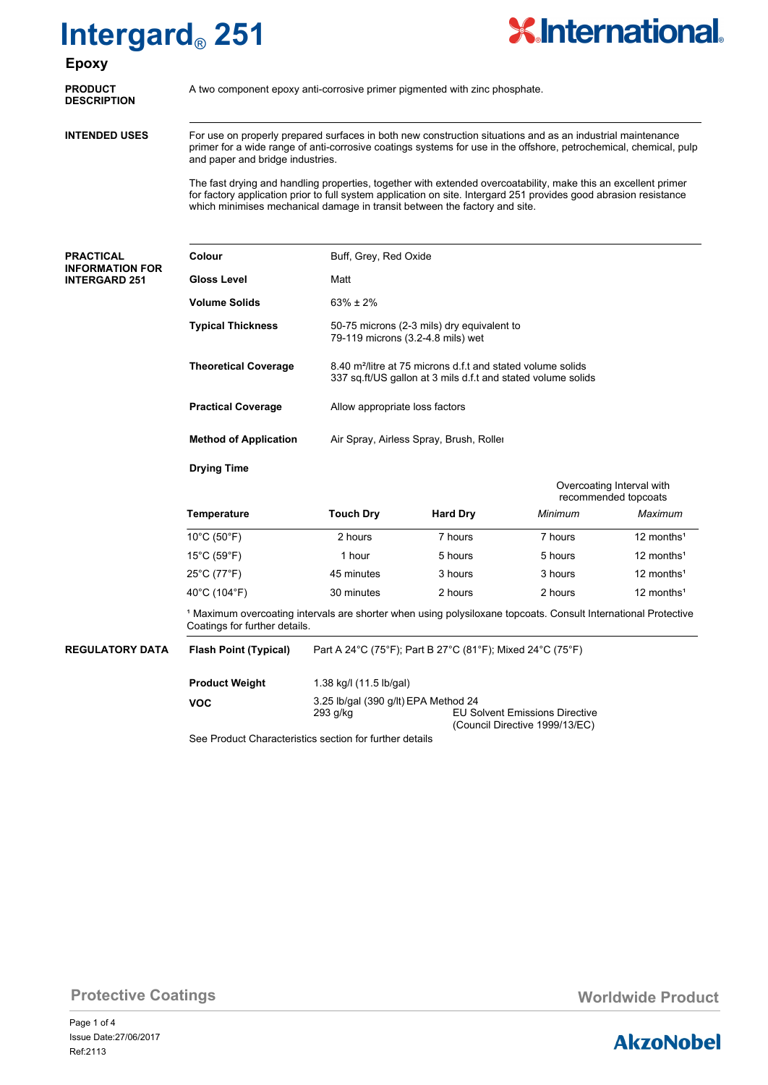## **Intergard**® **251**



## **Epoxy**

| <b>PRODUCT</b><br><b>DESCRIPTION</b> | A tw |  |
|--------------------------------------|------|--|
| <b>INTENDED USES</b>                 | For  |  |

**PRODUCT** A two component epoxy anti-corrosive primer pigmented with zinc phosphate.<br>DESCRIPTION

For use on properly prepared surfaces in both new construction situations and as an industrial maintenance primer for a wide range of anti-corrosive coatings systems for use in the offshore, petrochemical, chemical, pulp and paper and bridge industries.

The fast drying and handling properties, together with extended overcoatability, make this an excellent primer for factory application prior to full system application on site. Intergard 251 provides good abrasion resistance which minimises mechanical damage in transit between the factory and site.

### **PRACTICAL INFORMATION INTERGARD 25**

| <b>PRACTICAL</b>                               | Colour                                                                                                                                                     | Buff, Grey, Red Oxide                             |                                                                                                                                                                           |         |                        |  |  |
|------------------------------------------------|------------------------------------------------------------------------------------------------------------------------------------------------------------|---------------------------------------------------|---------------------------------------------------------------------------------------------------------------------------------------------------------------------------|---------|------------------------|--|--|
| <b>INFORMATION FOR</b><br><b>INTERGARD 251</b> | <b>Gloss Level</b>                                                                                                                                         | Matt                                              |                                                                                                                                                                           |         |                        |  |  |
|                                                | <b>Volume Solids</b>                                                                                                                                       | $63\% \pm 2\%$                                    | 50-75 microns (2-3 mils) dry equivalent to<br>79-119 microns (3.2-4.8 mils) wet                                                                                           |         |                        |  |  |
|                                                | <b>Typical Thickness</b>                                                                                                                                   |                                                   |                                                                                                                                                                           |         |                        |  |  |
|                                                | <b>Theoretical Coverage</b>                                                                                                                                |                                                   | 8.40 m <sup>2</sup> /litre at 75 microns d.f.t and stated volume solids<br>337 sq.ft/US gallon at 3 mils d.f.t and stated volume solids<br>Allow appropriate loss factors |         |                        |  |  |
|                                                | <b>Practical Coverage</b>                                                                                                                                  |                                                   |                                                                                                                                                                           |         |                        |  |  |
|                                                | <b>Method of Application</b>                                                                                                                               | Air Spray, Airless Spray, Brush, Roller           |                                                                                                                                                                           |         |                        |  |  |
|                                                | <b>Drying Time</b>                                                                                                                                         |                                                   |                                                                                                                                                                           |         |                        |  |  |
|                                                |                                                                                                                                                            | Overcoating Interval with<br>recommended topcoats |                                                                                                                                                                           |         |                        |  |  |
|                                                | Temperature                                                                                                                                                | <b>Touch Dry</b>                                  | <b>Hard Dry</b>                                                                                                                                                           | Minimum | Maximum                |  |  |
|                                                | $10^{\circ}$ C (50 $^{\circ}$ F)                                                                                                                           | 2 hours                                           | 7 hours                                                                                                                                                                   | 7 hours | 12 months <sup>1</sup> |  |  |
|                                                | $15^{\circ}$ C (59 $^{\circ}$ F)                                                                                                                           | 1 hour                                            | 5 hours                                                                                                                                                                   | 5 hours | 12 months <sup>1</sup> |  |  |
|                                                | 25°C (77°F)                                                                                                                                                | 45 minutes                                        | 3 hours                                                                                                                                                                   | 3 hours | 12 months <sup>1</sup> |  |  |
|                                                | 40°C (104°F)                                                                                                                                               | 30 minutes                                        | 2 hours                                                                                                                                                                   | 2 hours | 12 months <sup>1</sup> |  |  |
|                                                | <sup>1</sup> Maximum overcoating intervals are shorter when using polysiloxane topcoats. Consult International Protective<br>Coatings for further details. |                                                   |                                                                                                                                                                           |         |                        |  |  |
| <b>REGULATORY DATA</b>                         | <b>Flash Point (Typical)</b>                                                                                                                               |                                                   | Part A 24°C (75°F); Part B 27°C (81°F); Mixed 24°C (75°F)                                                                                                                 |         |                        |  |  |
|                                                | <b>Product Weight</b>                                                                                                                                      | 1.38 kg/l (11.5 lb/gal)                           |                                                                                                                                                                           |         |                        |  |  |

| Product Weight | 1.38 kg/l (11.5 lb/gal)                                 |                                                                         |
|----------------|---------------------------------------------------------|-------------------------------------------------------------------------|
| VOC            | 3.25 lb/gal (390 g/lt) EPA Method 24<br>293 a/ka        | <b>EU Solvent Emissions Directive</b><br>(Council Directive 1999/13/EC) |
|                | Cae Draduet Characteristics coetian for further details |                                                                         |

See Product Characteristics section for further details

**Protective Coatings Monetable Product Monetable Product Worldwide Product** 

Page 1 of 4 Ref:2113 Issue Date:27/06/2017

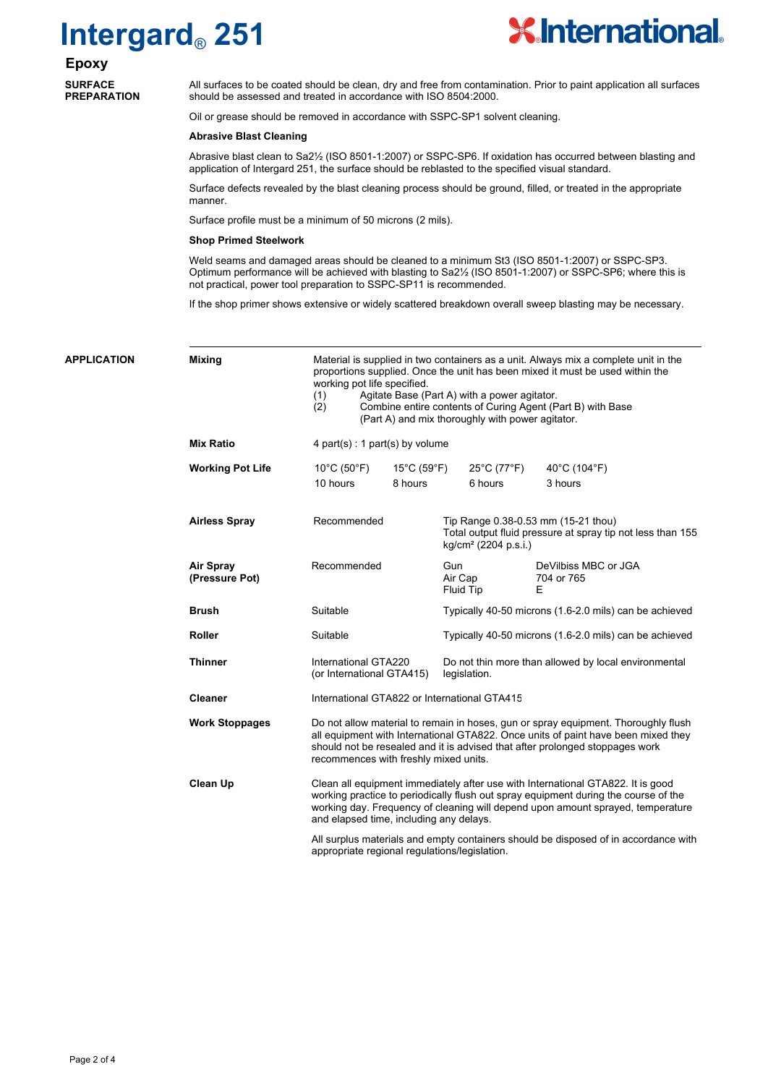# **Intergard**® **251**



**Epoxy SURFACE PREPARATION**

All surfaces to be coated should be clean, dry and free from contamination. Prior to paint application all surfaces should be assessed and treated in accordance with ISO 8504:2000.

Oil or grease should be removed in accordance with SSPC-SP1 solvent cleaning.

### **Abrasive Blast Cleaning**

Abrasive blast clean to Sa2½ (ISO 8501-1:2007) or SSPC-SP6. If oxidation has occurred between blasting and application of Intergard 251, the surface should be reblasted to the specified visual standard.

Surface defects revealed by the blast cleaning process should be ground, filled, or treated in the appropriate manner.

Surface profile must be a minimum of 50 microns (2 mils).

#### **Shop Primed Steelwork**

Weld seams and damaged areas should be cleaned to a minimum St3 (ISO 8501-1:2007) or SSPC-SP3. Optimum performance will be achieved with blasting to Sa2½ (ISO 8501-1:2007) or SSPC-SP6; where this is not practical, power tool preparation to SSPC-SP11 is recommended.

If the shop primer shows extensive or widely scattered breakdown overall sweep blasting may be necessary.

Material is supplied in two containers as a unit. Always mix a complete unit in the proportions supplied. Once the unit has been mixed it must be used within the working pot life specified. (1) Agitate Base (Part A) with a power agitator. (2) Combine entire contents of Curing Agent (Part B) with Base (Part A) and mix thoroughly with power agitator. 4 part(s) : 1 part(s) by volume Suitable Typically 40-50 microns (1.6-2.0 mils) can be achieved Suitable Typically 40-50 microns (1.6-2.0 mils) can be achieved International GTA220 (or International GTA415) International GTA822 or International GTA415 Do not allow material to remain in hoses, gun or spray equipment. Thoroughly flush all equipment with International GTA822. Once units of paint have been mixed they should not be resealed and it is advised that after prolonged stoppages work recommences with freshly mixed units. Clean all equipment immediately after use with International GTA822. It is good working practice to periodically flush out spray equipment during the course of the working day. Frequency of cleaning will depend upon amount sprayed, temperature and elapsed time, including any delays. All surplus materials and empty containers should be disposed of in accordance with appropriate regional regulations/legislation. Do not thin more than allowed by local environmental legislation. Recommended Recommended Gun DeVilbiss MBC or JGA<br>Air Cap 704 or 765 704 or 765<br>F Fluid Tip Tip Range 0.38-0.53 mm (15-21 thou) Total output fluid pressure at spray tip not less than 155 kg/cm² (2204 p.s.i.) **APPLICATION Mixing Mix Ratio Working Pot Life Airless Spray Air Spray (Pressure Pot) Brush Roller Thinner Cleaner Work Stoppages Clean Up** 10°C (50°F) 15°C (59°F) 25°C (77°F) 40°C (104°F) 10 hours 8 hours 6 hours 3 hours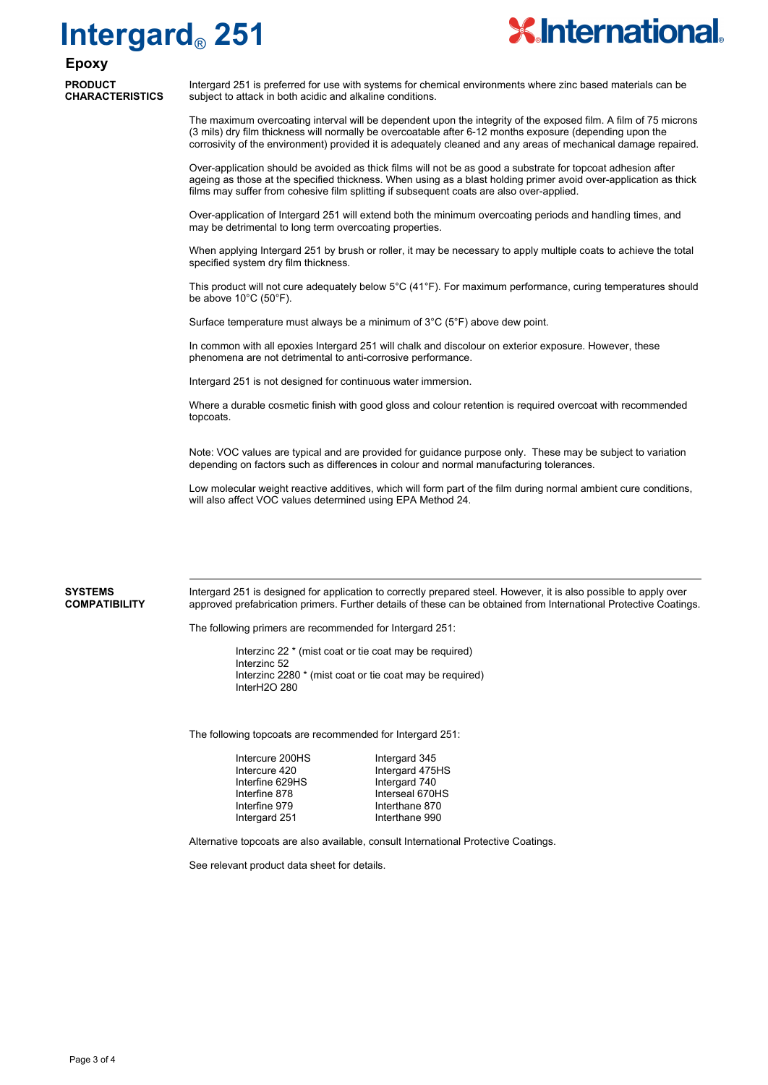# **Intergard**® **251**



### **Epoxy PRODUCT CHARACTERISTICS**

Intergard 251 is preferred for use with systems for chemical environments where zinc based materials can be subject to attack in both acidic and alkaline conditions.

The maximum overcoating interval will be dependent upon the integrity of the exposed film. A film of 75 microns (3 mils) dry film thickness will normally be overcoatable after 6-12 months exposure (depending upon the corrosivity of the environment) provided it is adequately cleaned and any areas of mechanical damage repaired.

Over-application should be avoided as thick films will not be as good a substrate for topcoat adhesion after ageing as those at the specified thickness. When using as a blast holding primer avoid over-application as thick films may suffer from cohesive film splitting if subsequent coats are also over-applied.

Over-application of Intergard 251 will extend both the minimum overcoating periods and handling times, and may be detrimental to long term overcoating properties.

When applying Intergard 251 by brush or roller, it may be necessary to apply multiple coats to achieve the total specified system dry film thickness.

This product will not cure adequately below 5°C (41°F). For maximum performance, curing temperatures should be above 10°C (50°F).

Surface temperature must always be a minimum of 3°C (5°F) above dew point.

In common with all epoxies Intergard 251 will chalk and discolour on exterior exposure. However, these phenomena are not detrimental to anti-corrosive performance.

Intergard 251 is not designed for continuous water immersion.

Where a durable cosmetic finish with good gloss and colour retention is required overcoat with recommended topcoats.

Note: VOC values are typical and are provided for guidance purpose only. These may be subject to variation depending on factors such as differences in colour and normal manufacturing tolerances.

Low molecular weight reactive additives, which will form part of the film during normal ambient cure conditions, will also affect VOC values determined using EPA Method 24.

### **SYSTEMS COMPATIBILITY**

Intergard 251 is designed for application to correctly prepared steel. However, it is also possible to apply over approved prefabrication primers. Further details of these can be obtained from International Protective Coatings.

The following primers are recommended for Intergard 251:

Interzinc 22 \* (mist coat or tie coat may be required) Interzinc 52 Interzinc 2280 \* (mist coat or tie coat may be required) InterH2O 280

The following topcoats are recommended for Intergard 251:

| Intercure 200HS | Intergard 345   |
|-----------------|-----------------|
| Intercure 420   | Intergard 475HS |
| Interfine 629HS | Intergard 740   |
| Interfine 878   | Interseal 670HS |
| Interfine 979   | Interthane 870  |
| Intergard 251   | Interthane 990  |

Alternative topcoats are also available, consult International Protective Coatings.

See relevant product data sheet for details.